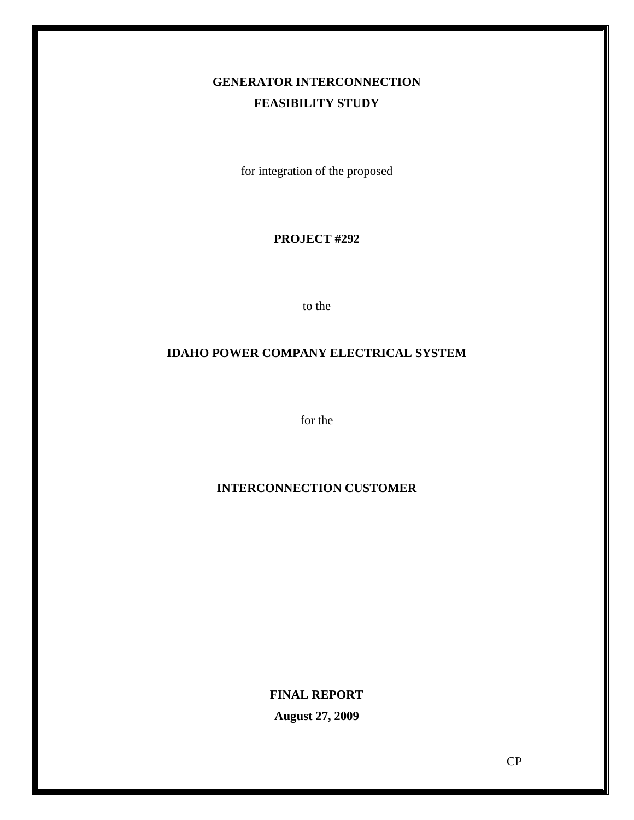# **GENERATOR INTERCONNECTION FEASIBILITY STUDY**

for integration of the proposed

#### **PROJECT #292**

to the

## **IDAHO POWER COMPANY ELECTRICAL SYSTEM**

for the

## **INTERCONNECTION CUSTOMER**

**FINAL REPORT August 27, 2009**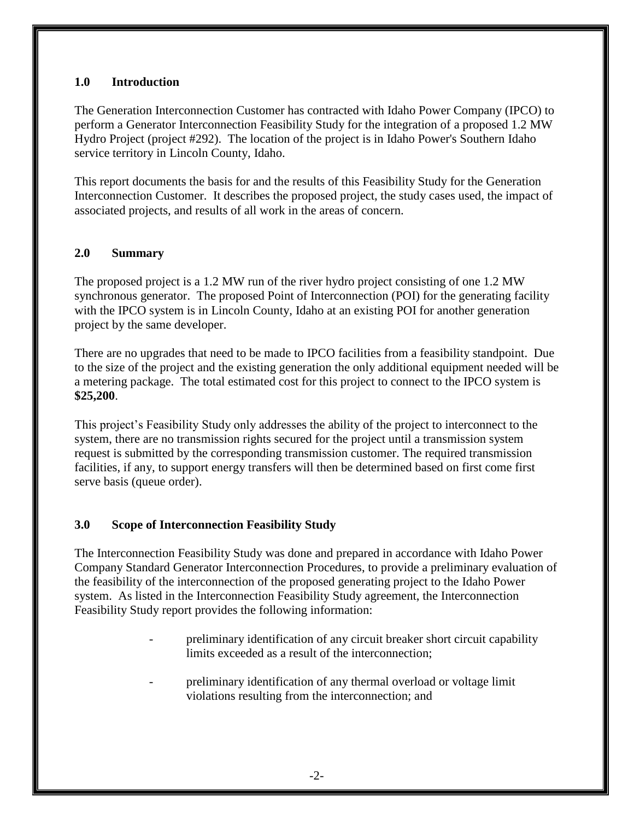#### **1.0 Introduction**

The Generation Interconnection Customer has contracted with Idaho Power Company (IPCO) to perform a Generator Interconnection Feasibility Study for the integration of a proposed 1.2 MW Hydro Project (project #292). The location of the project is in Idaho Power's Southern Idaho service territory in Lincoln County, Idaho.

This report documents the basis for and the results of this Feasibility Study for the Generation Interconnection Customer. It describes the proposed project, the study cases used, the impact of associated projects, and results of all work in the areas of concern.

#### **2.0 Summary**

The proposed project is a 1.2 MW run of the river hydro project consisting of one 1.2 MW synchronous generator. The proposed Point of Interconnection (POI) for the generating facility with the IPCO system is in Lincoln County, Idaho at an existing POI for another generation project by the same developer.

There are no upgrades that need to be made to IPCO facilities from a feasibility standpoint. Due to the size of the project and the existing generation the only additional equipment needed will be a metering package. The total estimated cost for this project to connect to the IPCO system is **\$25,200**.

This project's Feasibility Study only addresses the ability of the project to interconnect to the system, there are no transmission rights secured for the project until a transmission system request is submitted by the corresponding transmission customer. The required transmission facilities, if any, to support energy transfers will then be determined based on first come first serve basis (queue order).

## **3.0 Scope of Interconnection Feasibility Study**

The Interconnection Feasibility Study was done and prepared in accordance with Idaho Power Company Standard Generator Interconnection Procedures, to provide a preliminary evaluation of the feasibility of the interconnection of the proposed generating project to the Idaho Power system. As listed in the Interconnection Feasibility Study agreement, the Interconnection Feasibility Study report provides the following information:

- preliminary identification of any circuit breaker short circuit capability limits exceeded as a result of the interconnection;
- preliminary identification of any thermal overload or voltage limit violations resulting from the interconnection; and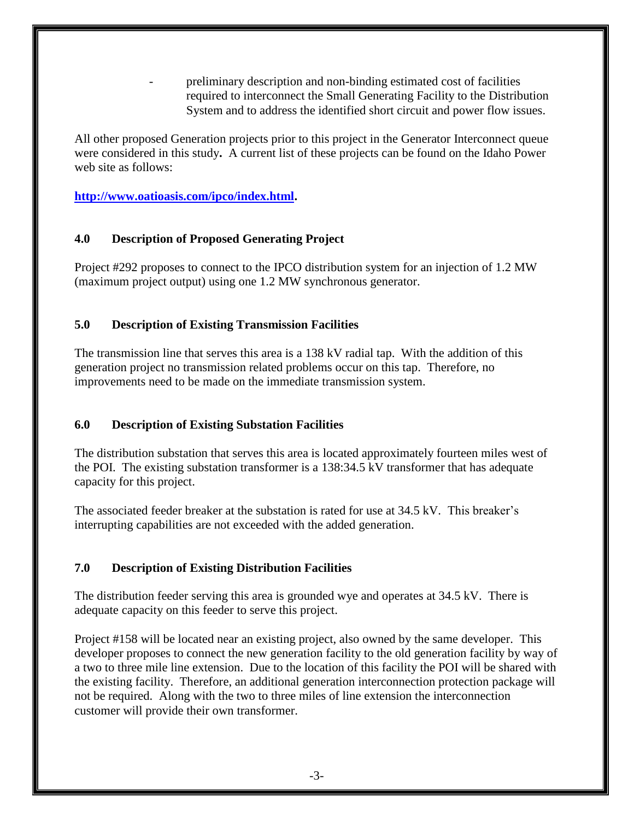- preliminary description and non-binding estimated cost of facilities required to interconnect the Small Generating Facility to the Distribution System and to address the identified short circuit and power flow issues.

All other proposed Generation projects prior to this project in the Generator Interconnect queue were considered in this study**.** A current list of these projects can be found on the Idaho Power web site as follows:

**[http://www.oatioasis.com/ipco/index.html.](http://www.oatioasis.com/ipco/index.html)**

## **4.0 Description of Proposed Generating Project**

Project #292 proposes to connect to the IPCO distribution system for an injection of 1.2 MW (maximum project output) using one 1.2 MW synchronous generator.

#### **5.0 Description of Existing Transmission Facilities**

The transmission line that serves this area is a 138 kV radial tap. With the addition of this generation project no transmission related problems occur on this tap. Therefore, no improvements need to be made on the immediate transmission system.

## **6.0 Description of Existing Substation Facilities**

The distribution substation that serves this area is located approximately fourteen miles west of the POI. The existing substation transformer is a 138:34.5 kV transformer that has adequate capacity for this project.

The associated feeder breaker at the substation is rated for use at 34.5 kV. This breaker's interrupting capabilities are not exceeded with the added generation.

## **7.0 Description of Existing Distribution Facilities**

The distribution feeder serving this area is grounded wye and operates at 34.5 kV. There is adequate capacity on this feeder to serve this project.

Project #158 will be located near an existing project, also owned by the same developer. This developer proposes to connect the new generation facility to the old generation facility by way of a two to three mile line extension. Due to the location of this facility the POI will be shared with the existing facility. Therefore, an additional generation interconnection protection package will not be required. Along with the two to three miles of line extension the interconnection customer will provide their own transformer.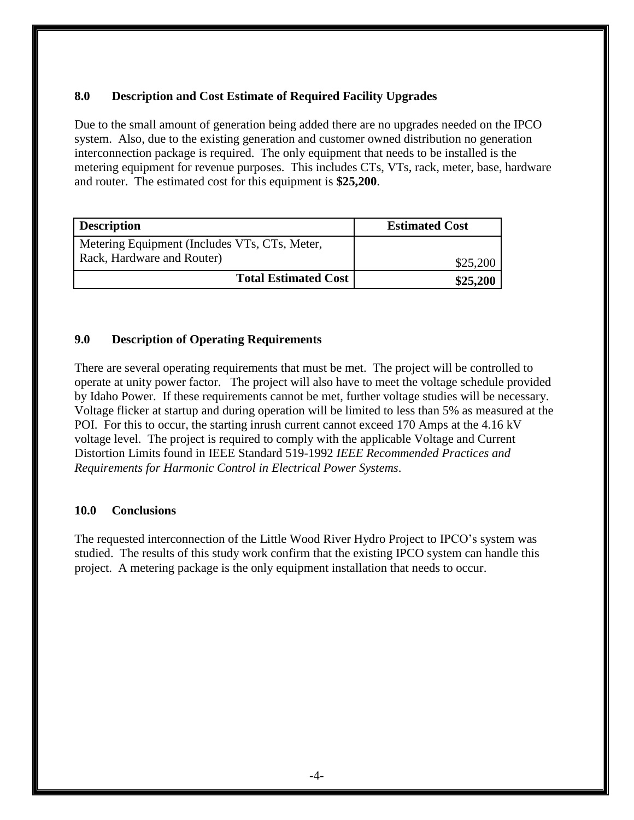## **8.0 Description and Cost Estimate of Required Facility Upgrades**

Due to the small amount of generation being added there are no upgrades needed on the IPCO system. Also, due to the existing generation and customer owned distribution no generation interconnection package is required. The only equipment that needs to be installed is the metering equipment for revenue purposes. This includes CTs, VTs, rack, meter, base, hardware and router. The estimated cost for this equipment is **\$25,200**.

| <b>Description</b>                                                          | <b>Estimated Cost</b> |
|-----------------------------------------------------------------------------|-----------------------|
| Metering Equipment (Includes VTs, CTs, Meter,<br>Rack, Hardware and Router) | \$25,200              |
| <b>Total Estimated Cost</b>                                                 | \$25,200              |

#### **9.0 Description of Operating Requirements**

There are several operating requirements that must be met. The project will be controlled to operate at unity power factor. The project will also have to meet the voltage schedule provided by Idaho Power. If these requirements cannot be met, further voltage studies will be necessary. Voltage flicker at startup and during operation will be limited to less than 5% as measured at the POI. For this to occur, the starting inrush current cannot exceed 170 Amps at the 4.16 kV voltage level. The project is required to comply with the applicable Voltage and Current Distortion Limits found in IEEE Standard 519-1992 *IEEE Recommended Practices and Requirements for Harmonic Control in Electrical Power Systems*.

#### **10.0 Conclusions**

The requested interconnection of the Little Wood River Hydro Project to IPCO's system was studied. The results of this study work confirm that the existing IPCO system can handle this project. A metering package is the only equipment installation that needs to occur.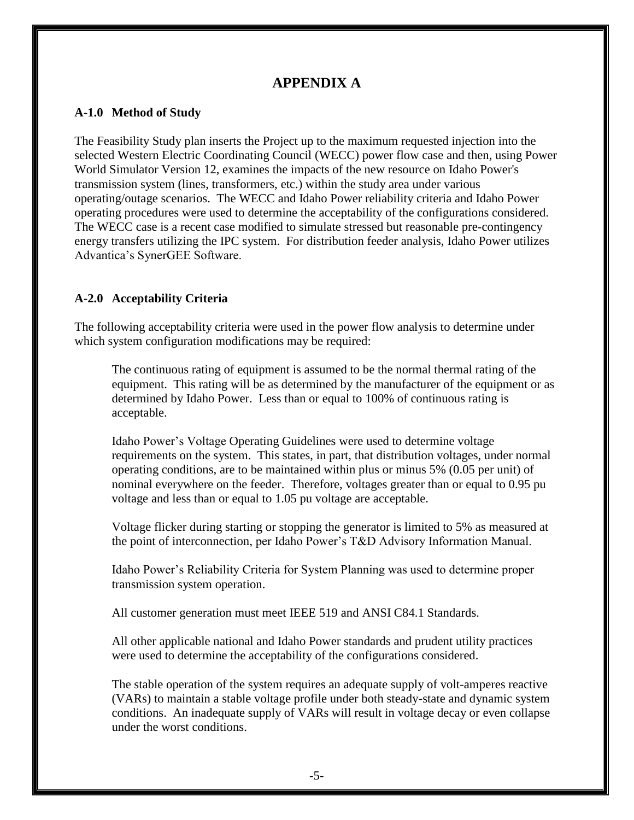## **APPENDIX A**

#### **A-1.0 Method of Study**

The Feasibility Study plan inserts the Project up to the maximum requested injection into the selected Western Electric Coordinating Council (WECC) power flow case and then, using Power World Simulator Version 12, examines the impacts of the new resource on Idaho Power's transmission system (lines, transformers, etc.) within the study area under various operating/outage scenarios. The WECC and Idaho Power reliability criteria and Idaho Power operating procedures were used to determine the acceptability of the configurations considered. The WECC case is a recent case modified to simulate stressed but reasonable pre-contingency energy transfers utilizing the IPC system. For distribution feeder analysis, Idaho Power utilizes Advantica's SynerGEE Software.

#### **A-2.0 Acceptability Criteria**

The following acceptability criteria were used in the power flow analysis to determine under which system configuration modifications may be required:

The continuous rating of equipment is assumed to be the normal thermal rating of the equipment. This rating will be as determined by the manufacturer of the equipment or as determined by Idaho Power. Less than or equal to 100% of continuous rating is acceptable.

Idaho Power's Voltage Operating Guidelines were used to determine voltage requirements on the system. This states, in part, that distribution voltages, under normal operating conditions, are to be maintained within plus or minus 5% (0.05 per unit) of nominal everywhere on the feeder. Therefore, voltages greater than or equal to 0.95 pu voltage and less than or equal to 1.05 pu voltage are acceptable.

Voltage flicker during starting or stopping the generator is limited to 5% as measured at the point of interconnection, per Idaho Power's T&D Advisory Information Manual.

Idaho Power's Reliability Criteria for System Planning was used to determine proper transmission system operation.

All customer generation must meet IEEE 519 and ANSI C84.1 Standards.

All other applicable national and Idaho Power standards and prudent utility practices were used to determine the acceptability of the configurations considered.

The stable operation of the system requires an adequate supply of volt-amperes reactive (VARs) to maintain a stable voltage profile under both steady-state and dynamic system conditions. An inadequate supply of VARs will result in voltage decay or even collapse under the worst conditions.